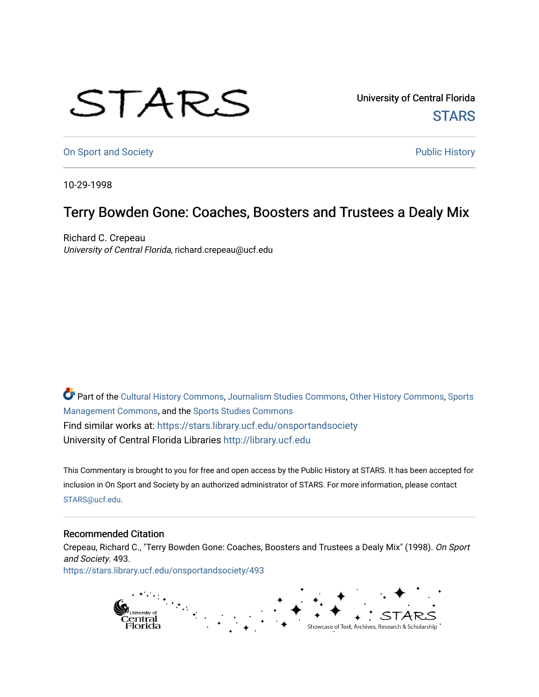## STARS

University of Central Florida **STARS** 

[On Sport and Society](https://stars.library.ucf.edu/onsportandsociety) **Public History** Public History

10-29-1998

## Terry Bowden Gone: Coaches, Boosters and Trustees a Dealy Mix

Richard C. Crepeau University of Central Florida, richard.crepeau@ucf.edu

Part of the [Cultural History Commons](http://network.bepress.com/hgg/discipline/496?utm_source=stars.library.ucf.edu%2Fonsportandsociety%2F493&utm_medium=PDF&utm_campaign=PDFCoverPages), [Journalism Studies Commons,](http://network.bepress.com/hgg/discipline/333?utm_source=stars.library.ucf.edu%2Fonsportandsociety%2F493&utm_medium=PDF&utm_campaign=PDFCoverPages) [Other History Commons,](http://network.bepress.com/hgg/discipline/508?utm_source=stars.library.ucf.edu%2Fonsportandsociety%2F493&utm_medium=PDF&utm_campaign=PDFCoverPages) [Sports](http://network.bepress.com/hgg/discipline/1193?utm_source=stars.library.ucf.edu%2Fonsportandsociety%2F493&utm_medium=PDF&utm_campaign=PDFCoverPages) [Management Commons](http://network.bepress.com/hgg/discipline/1193?utm_source=stars.library.ucf.edu%2Fonsportandsociety%2F493&utm_medium=PDF&utm_campaign=PDFCoverPages), and the [Sports Studies Commons](http://network.bepress.com/hgg/discipline/1198?utm_source=stars.library.ucf.edu%2Fonsportandsociety%2F493&utm_medium=PDF&utm_campaign=PDFCoverPages) Find similar works at: <https://stars.library.ucf.edu/onsportandsociety> University of Central Florida Libraries [http://library.ucf.edu](http://library.ucf.edu/) 

This Commentary is brought to you for free and open access by the Public History at STARS. It has been accepted for inclusion in On Sport and Society by an authorized administrator of STARS. For more information, please contact [STARS@ucf.edu](mailto:STARS@ucf.edu).

## Recommended Citation

Crepeau, Richard C., "Terry Bowden Gone: Coaches, Boosters and Trustees a Dealy Mix" (1998). On Sport and Society. 493. [https://stars.library.ucf.edu/onsportandsociety/493](https://stars.library.ucf.edu/onsportandsociety/493?utm_source=stars.library.ucf.edu%2Fonsportandsociety%2F493&utm_medium=PDF&utm_campaign=PDFCoverPages)

> ranasiya<br>Central<br>Florida Showcase of Text, Archives, Research & Scholarship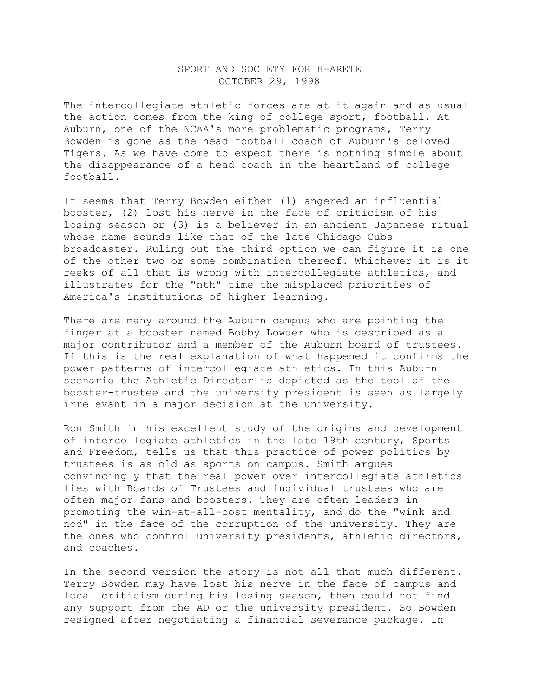## SPORT AND SOCIETY FOR H-ARETE OCTOBER 29, 1998

The intercollegiate athletic forces are at it again and as usual the action comes from the king of college sport, football. At Auburn, one of the NCAA's more problematic programs, Terry Bowden is gone as the head football coach of Auburn's beloved Tigers. As we have come to expect there is nothing simple about the disappearance of a head coach in the heartland of college football.

It seems that Terry Bowden either (1) angered an influential booster, (2) lost his nerve in the face of criticism of his losing season or (3) is a believer in an ancient Japanese ritual whose name sounds like that of the late Chicago Cubs broadcaster. Ruling out the third option we can figure it is one of the other two or some combination thereof. Whichever it is it reeks of all that is wrong with intercollegiate athletics, and illustrates for the "nth" time the misplaced priorities of America's institutions of higher learning.

There are many around the Auburn campus who are pointing the finger at a booster named Bobby Lowder who is described as a major contributor and a member of the Auburn board of trustees. If this is the real explanation of what happened it confirms the power patterns of intercollegiate athletics. In this Auburn scenario the Athletic Director is depicted as the tool of the booster-trustee and the university president is seen as largely irrelevant in a major decision at the university.

Ron Smith in his excellent study of the origins and development of intercollegiate athletics in the late 19th century, Sports and Freedom, tells us that this practice of power politics by trustees is as old as sports on campus. Smith argues convincingly that the real power over intercollegiate athletics lies with Boards of Trustees and individual trustees who are often major fans and boosters. They are often leaders in promoting the win-at-all-cost mentality, and do the "wink and nod" in the face of the corruption of the university. They are the ones who control university presidents, athletic directors, and coaches.

In the second version the story is not all that much different. Terry Bowden may have lost his nerve in the face of campus and local criticism during his losing season, then could not find any support from the AD or the university president. So Bowden resigned after negotiating a financial severance package. In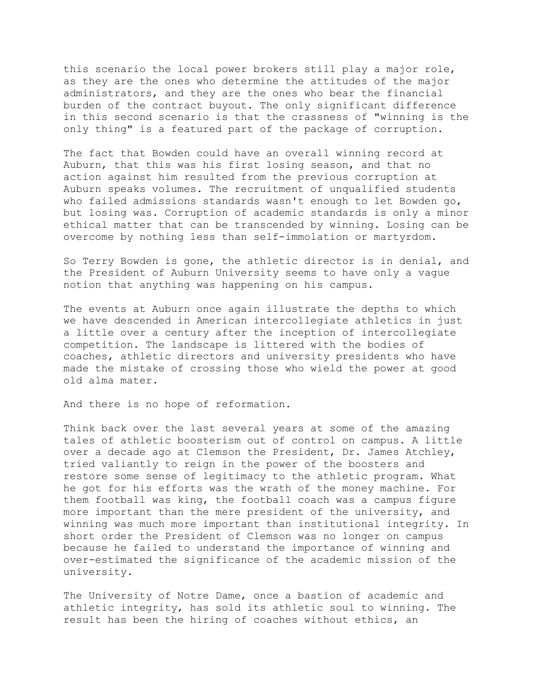this scenario the local power brokers still play a major role, as they are the ones who determine the attitudes of the major administrators, and they are the ones who bear the financial burden of the contract buyout. The only significant difference in this second scenario is that the crassness of "winning is the only thing" is a featured part of the package of corruption.

The fact that Bowden could have an overall winning record at Auburn, that this was his first losing season, and that no action against him resulted from the previous corruption at Auburn speaks volumes. The recruitment of unqualified students who failed admissions standards wasn't enough to let Bowden go, but losing was. Corruption of academic standards is only a minor ethical matter that can be transcended by winning. Losing can be overcome by nothing less than self-immolation or martyrdom.

So Terry Bowden is gone, the athletic director is in denial, and the President of Auburn University seems to have only a vague notion that anything was happening on his campus.

The events at Auburn once again illustrate the depths to which we have descended in American intercollegiate athletics in just a little over a century after the inception of intercollegiate competition. The landscape is littered with the bodies of coaches, athletic directors and university presidents who have made the mistake of crossing those who wield the power at good old alma mater.

And there is no hope of reformation.

Think back over the last several years at some of the amazing tales of athletic boosterism out of control on campus. A little over a decade ago at Clemson the President, Dr. James Atchley, tried valiantly to reign in the power of the boosters and restore some sense of legitimacy to the athletic program. What he got for his efforts was the wrath of the money machine. For them football was king, the football coach was a campus figure more important than the mere president of the university, and winning was much more important than institutional integrity. In short order the President of Clemson was no longer on campus because he failed to understand the importance of winning and over-estimated the significance of the academic mission of the university.

The University of Notre Dame, once a bastion of academic and athletic integrity, has sold its athletic soul to winning. The result has been the hiring of coaches without ethics, an